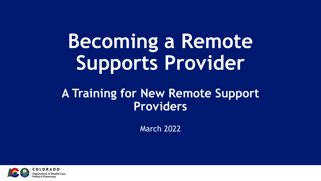### **Becoming a Remote Supports Provider**

#### **A Training for New Remote Support Providers**

March 2022

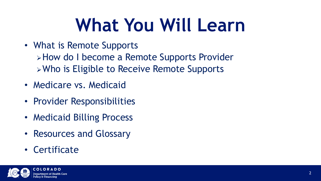#### **What You Will Learn**

- What is Remote Supports **Extrace 1 become a Remote Supports Provider** Who is Eligible to Receive Remote Supports
- Medicare vs. Medicaid
- Provider Responsibilities
- Medicaid Billing Process
- Resources and Glossary
- Certificate

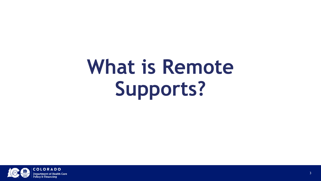## **What is Remote Supports?**

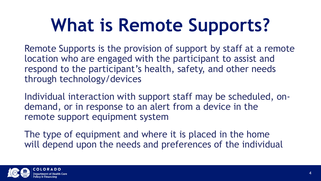### **What is Remote Supports?**

Remote Supports is the provision of support by staff at a remote location who are engaged with the participant to assist and respond to the participant's health, safety, and other needs through technology/devices

Individual interaction with support staff may be scheduled, ondemand, or in response to an alert from a device in the remote support equipment system

The type of equipment and where it is placed in the home will depend upon the needs and preferences of the individual

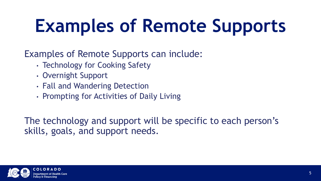### **Examples of Remote Supports**

Examples of Remote Supports can include:

- Technology for Cooking Safety
- Overnight Support
- Fall and Wandering Detection
- Prompting for Activities of Daily Living

The technology and support will be specific to each person's skills, goals, and support needs.

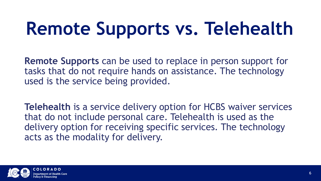## **Remote Supports vs. Telehealth**

**Remote Supports** can be used to replace in person support for tasks that do not require hands on assistance. The technology used is the service being provided.

**Telehealth** is a service delivery option for HCBS waiver services that do not include personal care. Telehealth is used as the delivery option for receiving specific services. The technology acts as the modality for delivery.

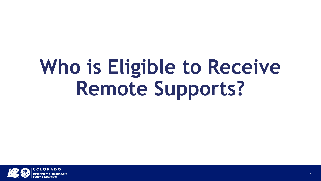## **Who is Eligible to Receive Remote Supports?**

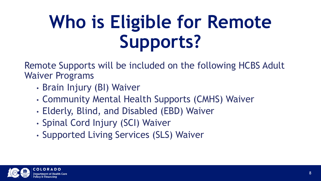### **Who is Eligible for Remote Supports?**

Remote Supports will be included on the following HCBS Adult Waiver Programs

- Brain Injury (BI) Waiver
- Community Mental Health Supports (CMHS) Waiver
- Elderly, Blind, and Disabled (EBD) Waiver
- Spinal Cord Injury (SCI) Waiver
- Supported Living Services (SLS) Waiver

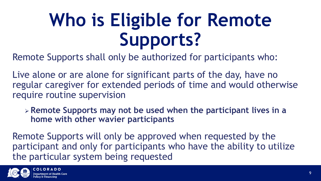### **Who is Eligible for Remote Supports?**

Remote Supports shall only be authorized for participants who:

Live alone or are alone for significant parts of the day, have no regular caregiver for extended periods of time and would otherwise require routine supervision

 **Remote Supports may not be used when the participant lives in a home with other wavier participants**

Remote Supports will only be approved when requested by the participant and only for participants who have the ability to utilize the particular system being requested

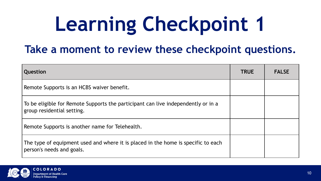# **Learning Checkpoint 1**

#### **Take a moment to review these checkpoint questions.**

| Question                                                                                                        | <b>TRUE</b> | <b>FALSE</b> |
|-----------------------------------------------------------------------------------------------------------------|-------------|--------------|
| Remote Supports is an HCBS waiver benefit.                                                                      |             |              |
| To be eligible for Remote Supports the participant can live independently or in a<br>group residential setting. |             |              |
| Remote Supports is another name for Telehealth.                                                                 |             |              |
| The type of equipment used and where it is placed in the home is specific to each<br>person's needs and goals.  |             |              |

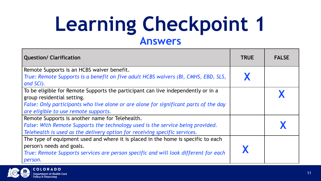#### **Learning Checkpoint 1 Answers**

| <b>Question/ Clarification</b>                                                        | <b>TRUE</b> | <b>FALSE</b> |
|---------------------------------------------------------------------------------------|-------------|--------------|
| Remote Supports is an HCBS waiver benefit.                                            |             |              |
| True: Remote Supports is a benefit on five adult HCBS waivers (BI, CMHS, EBD, SLS,    |             |              |
| and SCI).                                                                             |             |              |
| To be eligible for Remote Supports the participant can live independently or in a     |             |              |
| group residential setting.                                                            |             |              |
| False: Only participants who live alone or are alone for significant parts of the day |             |              |
| are eligible to use remote supports.                                                  |             |              |
| Remote Supports is another name for Telehealth.                                       |             |              |
| False: With Remote Supports the technology used is the service being provided.        |             |              |
| Telehealth is used as the delivery option for receiving specific services.            |             |              |
| The type of equipment used and where it is placed in the home is specific to each     |             |              |
| person's needs and goals.                                                             |             |              |
| True: Remote Supports services are person specific and will look different for each   |             |              |
| person.                                                                               |             |              |

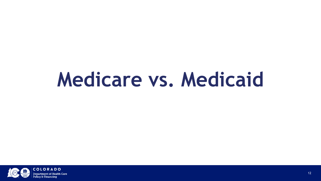#### **Medicare vs. Medicaid**

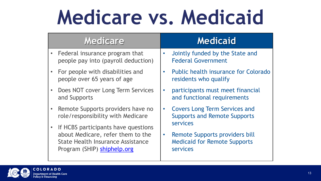## **Medicare vs. Medicaid**

| <b>Medicare</b>                                                                                                                                                  | <b>Medicaid</b>                                                                                                   |
|------------------------------------------------------------------------------------------------------------------------------------------------------------------|-------------------------------------------------------------------------------------------------------------------|
| • Federal insurance program that<br>people pay into (payroll deduction)                                                                                          | Jointly funded by the State and<br>$\bullet$<br><b>Federal Government</b>                                         |
| • For people with disabilities and<br>people over 65 years of age                                                                                                | Public health insurance for Colorado<br>$\bullet$<br>residents who qualify                                        |
| Does NOT cover Long Term Services<br>$\bullet$<br>and Supports                                                                                                   | participants must meet financial<br>$\bullet$<br>and functional requirements                                      |
| • Remote Supports providers have no<br>role/responsibility with Medicare                                                                                         | <b>Covers Long Term Services and</b><br>$\bullet$<br><b>Supports and Remote Supports</b>                          |
| If HCBS participants have questions<br>$\bullet$<br>about Medicare, refer them to the<br><b>State Health Insurance Assistance</b><br>Program (SHIP) shiphelp.org | <b>services</b><br>Remote Supports providers bill<br>$\bullet$<br><b>Medicaid for Remote Supports</b><br>services |

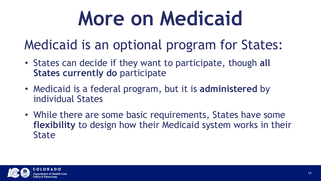## **More on Medicaid**

#### Medicaid is an optional program for States:

- States can decide if they want to participate, though **all States currently do participate**
- Medicaid is a federal program, but it is **administered** by individual States
- While there are some basic requirements, States have some **flexibility** to design how their Medicaid system works in their **State**

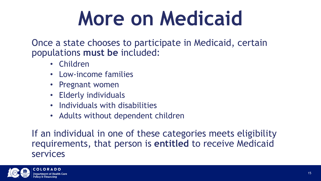## **More on Medicaid**

Once a state chooses to participate in Medicaid, certain populations **must be** included:

- Children
- Low-income families
- Pregnant women
- Elderly individuals
- Individuals with disabilities
- Adults without dependent children

If an individual in one of these categories meets eligibility requirements, that person is **entitled** to receive Medicaid services

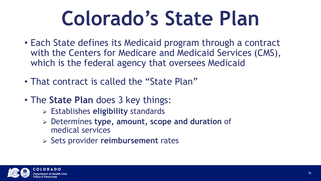## **Colorado's State Plan**

- Each State defines its Medicaid program through a contract with the Centers for Medicare and Medicaid Services (CMS), which is the federal agency that oversees Medicaid
- That contract is called the "State Plan"
- The **State Plan** does 3 key things:
	- Establishes **eligibility** standards
	- Determines **type, amount, scope and duration** of medical services
	- Sets provider **reimbursement** rates

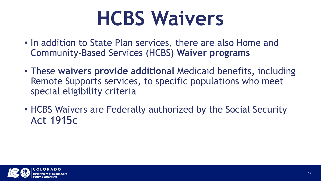## **HCBS Waivers**

- In addition to State Plan services, there are also Home and Community-Based Services (HCBS) **Waiver programs**
- These **waivers provide additional** Medicaid benefits, including Remote Supports services, to specific populations who meet special eligibility criteria
- HCBS Waivers are Federally authorized by the Social Security Act 1915c

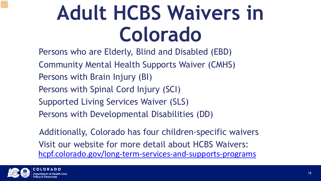## **Adult HCBS Waivers in Colorado**

Persons who are Elderly, Blind and Disabled (EBD) Community Mental Health Supports Waiver (CMHS) Persons with Brain Injury (BI) Persons with Spinal Cord Injury (SCI) Supported Living Services Waiver (SLS) Persons with Developmental Disabilities (DD)

Additionally, Colorado has four children-specific waivers Visit our website for more detail about HCBS Waivers: [hcpf.colorado.gov/long-term-services-and-supports-programs](https://hcpf.colorado.gov/long-term-services-and-supports-programs)

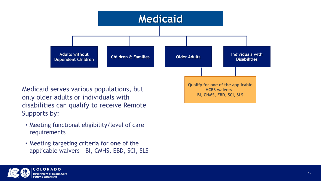

Medicaid serves various populations, but only older adults or individuals with disabilities can qualify to receive Remote Supports by:

- Meeting functional eligibility/level of care requirements
- Meeting targeting criteria for **one** of the applicable waivers – BI, CMHS, EBD, SCI, SLS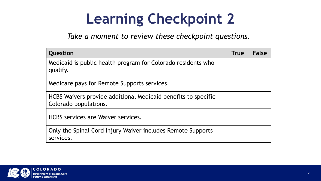#### **Learning Checkpoint 2**

*Take a moment to review these checkpoint questions.* 

| Question                                                                               | <b>True</b> | <b>False</b> |
|----------------------------------------------------------------------------------------|-------------|--------------|
| Medicaid is public health program for Colorado residents who<br>qualify.               |             |              |
| Medicare pays for Remote Supports services.                                            |             |              |
| HCBS Waivers provide additional Medicaid benefits to specific<br>Colorado populations. |             |              |
| <b>HCBS</b> services are Waiver services.                                              |             |              |
| Only the Spinal Cord Injury Waiver includes Remote Supports<br>services.               |             |              |

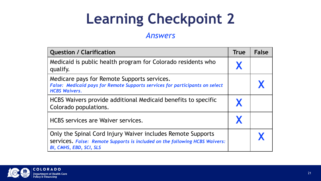#### **Learning Checkpoint 2**

#### *Answers*

| <b>Question / Clarification</b>                                                                                                                                              | <b>True</b> | <b>False</b> |
|------------------------------------------------------------------------------------------------------------------------------------------------------------------------------|-------------|--------------|
| Medicaid is public health program for Colorado residents who<br>qualify.                                                                                                     | X           |              |
| Medicare pays for Remote Supports services.<br><b>False: Medicaid pays for Remote Supports services for participants on select</b><br><b>HCBS Waivers.</b>                   |             |              |
| HCBS Waivers provide additional Medicaid benefits to specific<br>Colorado populations.                                                                                       |             |              |
| HCBS services are Waiver services.                                                                                                                                           |             |              |
| Only the Spinal Cord Injury Waiver includes Remote Supports<br>Services. False: Remote Supports is included on the following HCBS Waivers:<br><b>BI, CMHS, EBD, SCI, SLS</b> |             |              |

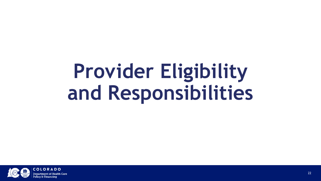## **Provider Eligibility and Responsibilities**

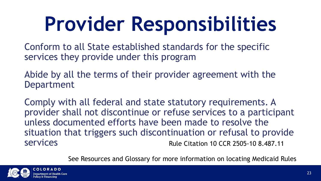Conform to all State established standards for the specific services they provide under this program

Abide by all the terms of their provider agreement with the Department

Comply with all federal and state statutory requirements. A provider shall not discontinue or refuse services to a participant unless documented efforts have been made to resolve the situation that triggers such discontinuation or refusal to provide services Rule Citation 10 CCR 2505-10 8.487.11

See Resources and Glossary for more information on locating Medicaid Rules

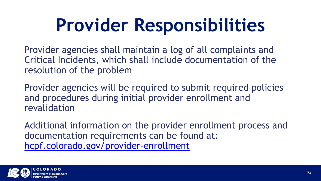Provider agencies shall maintain a log of all complaints and Critical Incidents, which shall include documentation of the resolution of the problem

Provider agencies will be required to submit required policies and procedures during initial provider enrollment and revalidation

Additional information on the provider enrollment process and documentation requirements can be found at: [hcpf.colorado.gov/provider-enrollment](https://hcpf.colorado.gov/provider-enrollment)

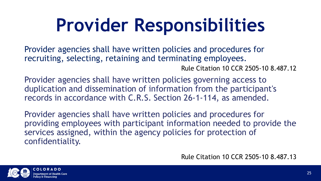Provider agencies shall have written policies and procedures for recruiting, selecting, retaining and terminating employees. Rule Citation 10 CCR 2505-10 8.487.12

Provider agencies shall have written policies governing access to duplication and dissemination of information from the participant's records in accordance with C.R.S. Section 26-1-114, as amended.

Provider agencies shall have written policies and procedures for providing employees with participant information needed to provide the services assigned, within the agency policies for protection of confidentiality.

Rule Citation 10 CCR 2505-10 8.487.13

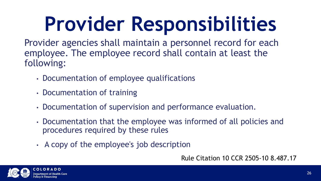Provider agencies shall maintain a personnel record for each employee. The employee record shall contain at least the following:

- Documentation of employee qualifications
- Documentation of training
- Documentation of supervision and performance evaluation.
- Documentation that the employee was informed of all policies and procedures required by these rules
- A copy of the employee's job description

Rule Citation 10 CCR 2505-10 8.487.17

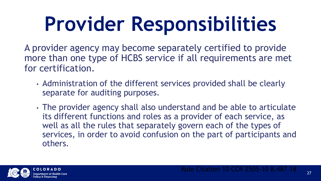A provider agency may become separately certified to provide more than one type of HCBS service if all requirements are met for certification.

- Administration of the different services provided shall be clearly separate for auditing purposes.
- The provider agency shall also understand and be able to articulate its different functions and roles as a provider of each service, as well as all the rules that separately govern each of the types of services, in order to avoid confusion on the part of participants and others.

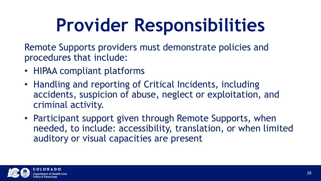Remote Supports providers must demonstrate policies and procedures that include:

- HIPAA compliant platforms
- Handling and reporting of Critical Incidents, including accidents, suspicion of abuse, neglect or exploitation, and criminal activity.
- Participant support given through Remote Supports, when needed, to include: accessibility, translation, or when limited auditory or visual capacities are present

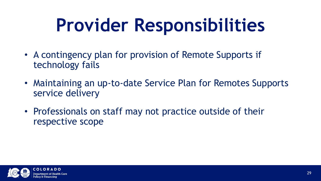- A contingency plan for provision of Remote Supports if technology fails
- Maintaining an up-to-date Service Plan for Remotes Supports service delivery
- Professionals on staff may not practice outside of their respective scope

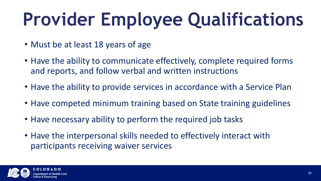## **Provider Employee Qualifications**

- Must be at least 18 years of age
- Have the ability to communicate effectively, complete required forms and reports, and follow verbal and written instructions
- Have the ability to provide services in accordance with a Service Plan
- Have competed minimum training based on State training guidelines
- Have necessary ability to perform the required job tasks
- Have the interpersonal skills needed to effectively interact with participants receiving waiver services

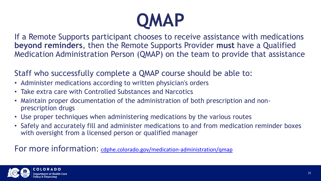

If a Remote Supports participant chooses to receive assistance with medications **beyond reminders**, then the Remote Supports Provider **must** have a Qualified Medication Administration Person (QMAP) on the team to provide that assistance

Staff who successfully complete a QMAP course should be able to:

- Administer medications according to written physician's orders
- Take extra care with Controlled Substances and Narcotics
- Maintain proper documentation of the administration of both prescription and nonprescription drugs
- Use proper techniques when administering medications by the various routes
- Safely and accurately fill and administer medications to and from medication reminder boxes with oversight from a licensed person or qualified manager

#### For more information: [cdphe.colorado.gov/medication-administration/qmap](https://cdphe.colorado.gov/medication-administration/qmap)

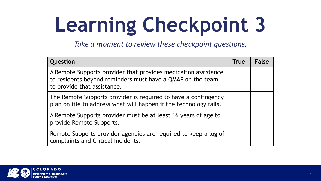# **Learning Checkpoint 3**

*Take a moment to review these checkpoint questions.* 

| Question                                                                                                                                                    | <b>True</b> | <b>False</b> |
|-------------------------------------------------------------------------------------------------------------------------------------------------------------|-------------|--------------|
| A Remote Supports provider that provides medication assistance<br>to residents beyond reminders must have a QMAP on the team<br>to provide that assistance. |             |              |
| The Remote Supports provider is required to have a contingency<br>plan on file to address what will happen if the technology fails.                         |             |              |
| A Remote Supports provider must be at least 16 years of age to<br>provide Remote Supports.                                                                  |             |              |
| Remote Supports provider agencies are required to keep a log of<br>complaints and Critical Incidents.                                                       |             |              |

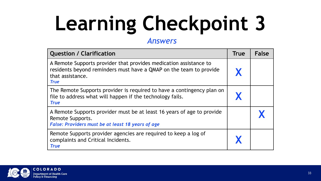# **Learning Checkpoint 3**

#### *Answers*

| <b>Question / Clarification</b>                                                                                                                                            | <b>True</b> | <b>False</b> |
|----------------------------------------------------------------------------------------------------------------------------------------------------------------------------|-------------|--------------|
| A Remote Supports provider that provides medication assistance to<br>residents beyond reminders must have a QMAP on the team to provide<br>that assistance.<br><b>True</b> |             |              |
| The Remote Supports provider is required to have a contingency plan on<br>file to address what will happen if the technology fails.<br><b>True</b>                         |             |              |
| A Remote Supports provider must be at least 16 years of age to provide<br>Remote Supports.<br>False: Providers must be at least 18 years of age                            |             |              |
| Remote Supports provider agencies are required to keep a log of<br>complaints and Critical Incidents.<br><b>True</b>                                                       |             |              |

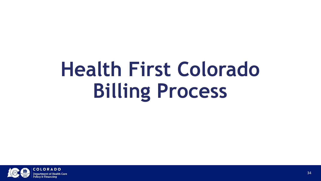## **Health First Colorado Billing Process**

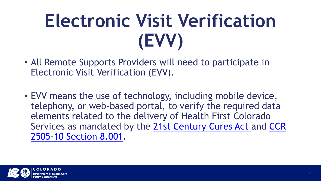### **Electronic Visit Verification (EVV)**

- All Remote Supports Providers will need to participate in Electronic Visit Verification (EVV).
- EVV means the use of technology, including mobile device, telephony, or web-based portal, to verify the required data elements related to the delivery of Health First Colorado [Services as mandated by the 21st Century Cures Act and](https://www.sos.state.co.us/CCR/GenerateRulePdf.do?ruleVersionId=9440&fileName=10%20CCR%202505-10%208.000) CCR 2505-10 Section 8.001.

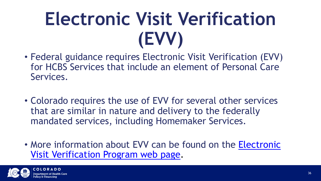### **Electronic Visit Verification (EVV)**

- Federal guidance requires Electronic Visit Verification (EVV) for HCBS Services that include an element of Personal Care Services.
- Colorado requires the use of EVV for several other services that are similar in nature and delivery to the federally mandated services, including Homemaker Services.
- More information about EVV can be found on the Electronic Visit Verification Program web page.

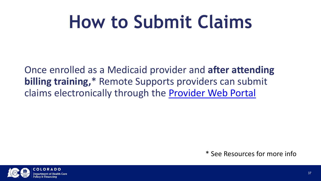#### **How to Submit Claims**

Once enrolled as a Medicaid provider and **after attending billing training,**\* Remote Supports providers can submit claims electronically through the [Provider Web Portal](https://colorado-hcp-portal.xco.dcs-usps.com/hcp/provider/Home/tabid/135/Default.aspx)

\* See Resources for more info

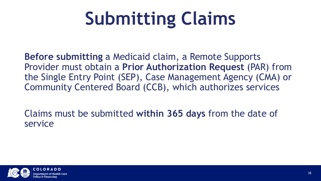## **Submitting Claims**

**Before submitting** a Medicaid claim, a Remote Supports Provider must obtain a **Prior Authorization Request** (PAR) from the Single Entry Point (SEP), Case Management Agency (CMA) or Community Centered Board (CCB), which authorizes services

Claims must be submitted **within 365 days** from the date of service

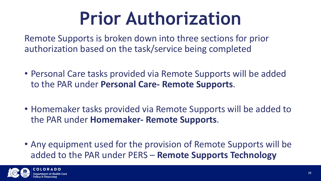#### **Prior Authorization**

Remote Supports is broken down into three sections for prior authorization based on the task/service being completed

- Personal Care tasks provided via Remote Supports will be added to the PAR under **Personal Care- Remote Supports**.
- Homemaker tasks provided via Remote Supports will be added to the PAR under **Homemaker- Remote Supports**.
- Any equipment used for the provision of Remote Supports will be added to the PAR under PERS – **Remote Supports Technology**

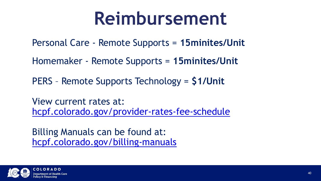#### **Reimbursement**

Personal Care - Remote Supports = **15minites/Unit**

Homemaker - Remote Supports = **15minites/Unit**

PERS – Remote Supports Technology = **\$1/Unit**

View current rates at: [hcpf.colorado.gov/provider-rates-fee-schedule](https://hcpf.colorado.gov/provider-rates-fee-schedule)

Billing Manuals can be found at: [hcpf.colorado.gov/billing-manuals](https://hcpf.colorado.gov/billing-manuals)

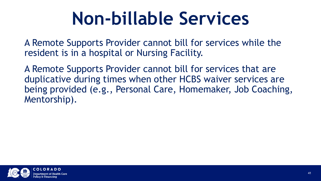#### **Non-billable Services**

A Remote Supports Provider cannot bill for services while the resident is in a hospital or Nursing Facility.

A Remote Supports Provider cannot bill for services that are duplicative during times when other HCBS waiver services are being provided (e.g., Personal Care, Homemaker, Job Coaching, Mentorship).

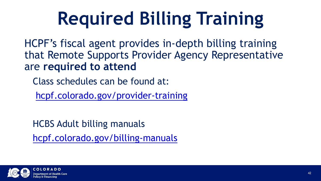### **Required Billing Training**

HCPF's fiscal agent provides in-depth billing training that Remote Supports Provider Agency Representative are **required to attend**

Class schedules can be found at:

[hcpf.colorado.gov/provider-training](https://hcpf.colorado.gov/provider-training)

HCBS Adult billing manuals [hcpf.colorado.gov/billing-manuals](https://hcpf.colorado.gov/billing-manuals)

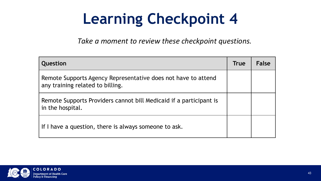#### **Learning Checkpoint 4**

*Take a moment to review these checkpoint questions.* 

| Question                                                                                          | <b>True</b> | <b>False</b> |
|---------------------------------------------------------------------------------------------------|-------------|--------------|
| Remote Supports Agency Representative does not have to attend<br>any training related to billing. |             |              |
| Remote Supports Providers cannot bill Medicaid if a participant is<br>in the hospital.            |             |              |
| If I have a question, there is always someone to ask.                                             |             |              |

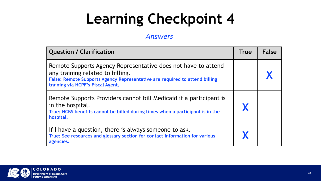#### **Learning Checkpoint 4**

#### *Answers*

| <b>Question / Clarification</b>                                                                                                                                                                                       | <b>True</b> | <b>False</b> |
|-----------------------------------------------------------------------------------------------------------------------------------------------------------------------------------------------------------------------|-------------|--------------|
| Remote Supports Agency Representative does not have to attend<br>any training related to billing.<br>False: Remote Supports Agency Representative are required to attend billing<br>training via HCPF's Fiscal Agent. |             |              |
| Remote Supports Providers cannot bill Medicaid if a participant is<br>in the hospital.<br>True: HCBS benefits cannot be billed during times when a participant is in the<br>hospital.                                 |             |              |
| If I have a question, there is always someone to ask.<br>True: See resources and glossary section for contact information for various<br>agencies.                                                                    |             |              |

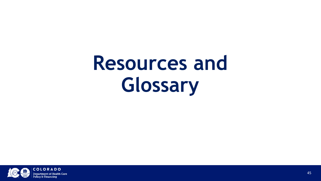## **Resources and Glossary**

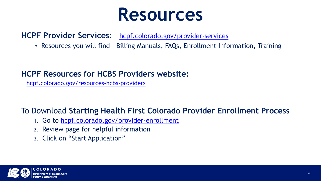#### **Resources**

#### **HCPF Provider Services:** [hcpf.colorado.gov/provider-services](https://hcpf.colorado.gov/provider-services)

• Resources you will find – Billing Manuals, FAQs, Enrollment Information, Training

#### **HCPF Resources for HCBS Providers website:**

[hcpf.colorado.gov/resources-hcbs-providers](https://hcpf.colorado.gov/resources-hcbs-providers)

#### To Download **Starting Health First Colorado Provider Enrollment Process**

- 1. Go to [hcpf.colorado.gov/provider-enrollment](https://hcpf.colorado.gov/provider-enrollment)
- 2. Review page for helpful information
- 3. Click on "Start Application"

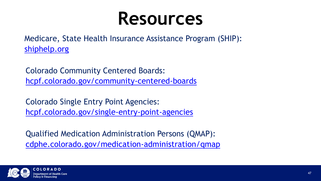#### **Resources**

Medicare, State Health Insurance Assistance Program (SHIP): [shiphelp.org](https://www.shiphelp.org/)

Colorado Community Centered Boards: [hcpf.colorado.gov/community-centered-boards](https://hcpf.colorado.gov/community-centered-boards)

Colorado Single Entry Point Agencies: [hcpf.colorado.gov/single-entry-point-agencies](https://hcpf.colorado.gov/single-entry-point-agencies)

Qualified Medication Administration Persons (QMAP): [cdphe.colorado.gov/medication-administration/qmap](https://cdphe.colorado.gov/medication-administration/qmap)

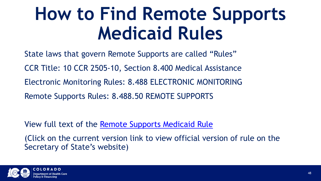#### **How to Find Remote Supports Medicaid Rules**

State laws that govern Remote Supports are called "Rules" CCR Title: 10 CCR 2505-10, Section 8.400 Medical Assistance Electronic Monitoring Rules: 8.488 ELECTRONIC MONITORING Remote Supports Rules: 8.488.50 REMOTE SUPPORTS

View full text of the [Remote Supports Medicaid Rule](https://www.sos.state.co.us/CCR/DisplayRule.do?action=ruleinfo&ruleId=2921&deptID=7&agencyID=69&deptName=2505,1305%20Department%20of%20Health%20Care%20Policy%20and%20Financing&agencyName=2505%20Medical%20Services%20Board%20(Volume%208,%20Medical%20Assistance,%20Children%27s%20Health%20Plan)&seriesNum=10%20CCR%202505-10%208.400)

(Click on the current version link to view official version of rule on the Secretary of State's website)

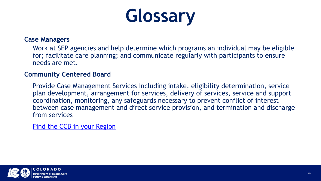### **Glossary**

#### **Case Managers**

Work at SEP agencies and help determine which programs an individual may be eligible for; facilitate care planning; and communicate regularly with participants to ensure needs are met.

#### **Community Centered Board**

Provide Case Management Services including intake, eligibility determination, service plan development, arrangement for services, delivery of services, service and support coordination, monitoring, any safeguards necessary to prevent conflict of interest between case management and direct service provision, and termination and discharge from services

[Find the CCB in your Region](https://hcpf.colorado.gov/community-centered-boards)

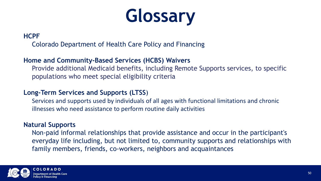#### **Glossary**

#### **HCPF**

Colorado Department of Health Care Policy and Financing

#### **Home and Community-Based Services (HCBS) Waivers**

Provide additional Medicaid benefits, including Remote Supports services, to specific populations who meet special eligibility criteria

#### **Long-Term Services and Supports (LTSS**)

Services and supports used by individuals of all ages with functional limitations and chronic illnesses who need assistance to perform routine daily activities

#### **Natural Supports**

Non-paid informal relationships that provide assistance and occur in the participant's everyday life including, but not limited to, community supports and relationships with family members, friends, co-workers, neighbors and acquaintances

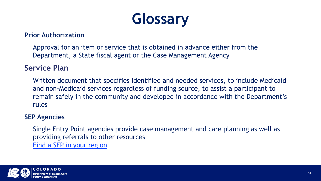#### **Glossary**

#### **Prior Authorization**

Approval for an item or service that is obtained in advance either from the Department, a State fiscal agent or the Case Management Agency

#### **Service Plan**

Written document that specifies identified and needed services, to include Medicaid and non-Medicaid services regardless of funding source, to assist a participant to remain safely in the community and developed in accordance with the Department's rules

#### **SEP Agencies**

Single Entry Point agencies provide case management and care planning as well as providing referrals to other resources [Find a SEP in your region](https://www.colorado.gov/pacific/hcpf/single-entry-point-agencies)

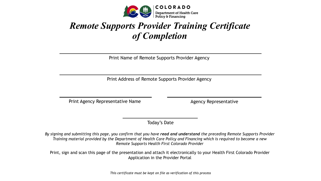

#### *Remote Supports Provider Training Certificate of Completion*

Print Name of Remote Supports Provider Agency

Print Address of Remote Supports Provider Agency

Print Agency Representative Name Agency Representative

Today's Date

*By signing and submitting this page, you confirm that you have read and understand the preceding Remote Supports Provider Training material provided by the Department of Health Care Policy and Financing which is required to become a new Remote Supports Health First Colorado Provider*

Print, sign and scan this page of the presentation and attach it electronically to your Health First Colorado Provider Application in the Provider Portal

*This certificate must be kept on file as verification of this process*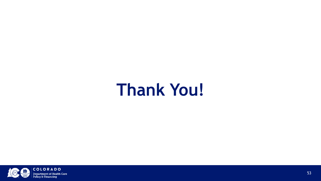#### **Thank You!**